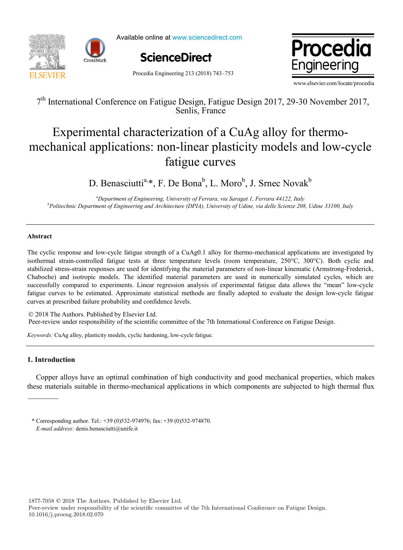



Available online at www.sciencedirect.com





Procedia Engineering 213 (2018) 743–753

www.elsevier.com/locate/procedia

 $7$ th International Conference on Fatigue Design, Fatigue Design, Fatigue Design, Fatigue 2017, 2017, 2017, 2017, 2017, 2017, 2017, 2017, 2017, 2017, 2017, 2017, 2017, 2017, 2017, 2017, 2017, 2017, 2017, 2017, 2017, 2017, 7<sup>th</sup> International Conference on Fatigue Design, Fatigue Design 2017, 29-30 November 2017, Senlis, France

## Experimental characterization of a  $C_{\mu}$   $\Delta \alpha$  alloy for thermo-Experimental enaraeterization or a carg any for thermo on mixa piasi<br>fatigue curves Experimental characterization of a CuAg alloy for thermomechanical applications: non-linear plasticity models and low-cycle fatigue curves

 $\mathbf{D} \mathbf{D}$ ,  $\mathbf{L} \mathbf{L} \mathbf{D} \mathbf{D}$ ,  $\mathbf{D} \mathbf{L} \mathbf{L} \mathbf{L}$ ,  $\mathbf{D} \mathbf{L} \mathbf{L} \mathbf{L}$ ,  $\mathbf{D} \mathbf{L} \mathbf{L} \mathbf{L}$ ,  $\mathbf{L} \mathbf{L} \mathbf{L} \mathbf{L}$ D. Benasciutti<sup>a,\*</sup>, F. De Bona<sup>b</sup>, L. Moro<sup>b</sup>, J. Srnec Novak<sup>b</sup>

"Department of Engineering, University of Ferrara, via Saragat 1, Ferrara 44122, Italy *b Politechnic Department of Engineering and Architecture (DPIA), University of Udine, via delle Scienze 208, Udine 33100, Italy*

## **Abstract**

The cyclic response and low-cycle fatigue strength of a CuAg0.1 alloy for thermo-mechanical applications are investigated by isothermal strain-controlled fatigue tests at three temperature levels (room temperature, 250°C, 300°C). Both cyclic and stabilized stress-strain responses are used for identifying the material parameters of non-linear kinematic (Armstrong-Frederick, Chaboche) and isotropic models. The identified material parameters are used in numerically simulated cycles, which are successfully compared to experiments. Linear regression analysis of experimental fatigue data allows the "mean" low-cycle fatigue curves to be estimated. Approximate statistical methods are finally adopted to evaluate the design low-cycle fatigue curves at prescribed failure probability and confidence levels.

© 2018 The Authors. Published by Elsevier Ltd. Peer-review under responsibility of the scientific committee of the 7th International Conference on Fatigue Design. Peer-review under responsibility of the scientific committee of the 7th International Conference on Fatigue Design.

*Keywords:* CuAg alloy, plasticity models, cyclic hardening, low-cycle fatigue.

# **1. Introduction**

Copper alloys have an optimal combination of high conductivity and good mechanical properties, which makes these materials suitable in thermo-mechanical applications in which components are subjected to high thermal flux

1877-7058 © 2018 The Authors. Published by Elsevier Ltd.

<sup>\*</sup> Corresponding author. Tel.: +39 (0)532-974976; fax: +39 (0)532-974870. *E-mail address:* denis.benasciutti@unife.it

Peer-review under responsibility of the scientific committee of the 7th International Conference on Fatigue Design. 10.1016/j.proeng.2018.02.070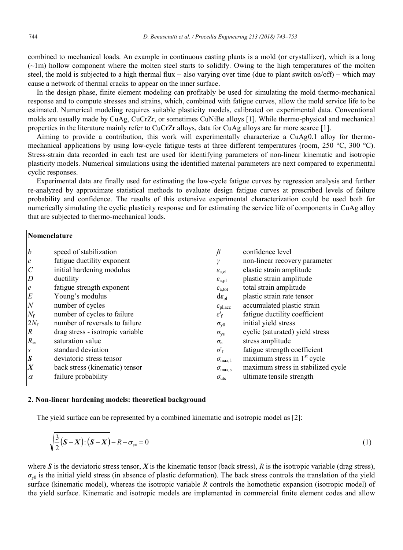combined to mechanical loads. An example in continuous casting plants is a mold (or crystallizer), which is a long  $(-1m)$  hollow component where the molten steel starts to solidify. Owing to the high temperatures of the molten steel, the mold is subjected to a high thermal flux – also varying over time (due to plant switch on/off) – which may cause a network of thermal cracks to appear on the inner surface.

In the design phase, finite element modeling can profitably be used for simulating the mold thermo-mechanical response and to compute stresses and strains, which, combined with fatigue curves, allow the mold service life to be estimated. Numerical modeling requires suitable plasticity models, calibrated on experimental data. Conventional molds are usually made by CuAg, CuCrZr, or sometimes CuNiBe alloys [1]. While thermo-physical and mechanical properties in the literature mainly refer to CuCrZr alloys, data for CuAg alloys are far more scarce [1].

Aiming to provide a contribution, this work will experimentally characterize a CuAg0.1 alloy for thermomechanical applications by using low-cycle fatigue tests at three different temperatures (room, 250 °C, 300 °C). Stress-strain data recorded in each test are used for identifying parameters of non-linear kinematic and isotropic plasticity models. Numerical simulations using the identified material parameters are next compared to experimental cyclic responses.

Experimental data are finally used for estimating the low-cycle fatigue curves by regression analysis and further re-analyzed by approximate statistical methods to evaluate design fatigue curves at prescribed levels of failure probability and confidence. The results of this extensive experimental characterization could be used both for numerically simulating the cyclic plasticity response and for estimating the service life of components in CuAg alloy that are subjected to thermo-mechanical loads.

| Nomenclature     |                                  |                                     |                                    |  |  |  |
|------------------|----------------------------------|-------------------------------------|------------------------------------|--|--|--|
| $\boldsymbol{b}$ | speed of stabilization           | β                                   | confidence level                   |  |  |  |
| $\mathcal{C}$    | fatigue ductility exponent       | $\boldsymbol{\eta}$                 | non-linear recovery parameter      |  |  |  |
| $\overline{C}$   | initial hardening modulus        | $\varepsilon_{\rm a,el}$            | elastic strain amplitude           |  |  |  |
| $\overline{D}$   | ductility                        | $\varepsilon_{\rm a,pl}$            | plastic strain amplitude           |  |  |  |
| $\boldsymbol{e}$ | fatigue strength exponent        | $\varepsilon_{a,\text{tot}}$        | total strain amplitude             |  |  |  |
| E                | Young's modulus                  | $d\mathbf{\varepsilon}_{\text{pl}}$ | plastic strain rate tensor         |  |  |  |
| ${\cal N}$       | number of cycles                 | $\varepsilon_{\text{pl,acc}}$       | accumulated plastic strain         |  |  |  |
| $N_{\rm f}$      | number of cycles to failure      | $\varepsilon'_{\rm f}$              | fatigue ductility coefficient      |  |  |  |
| $2N_f$           | number of reversals to failure   | $\sigma_{\rm v0}$                   | initial yield stress               |  |  |  |
| $\boldsymbol{R}$ | drag stress - isotropic variable | $\sigma_{\rm{ys}}$                  | cyclic (saturated) yield stress    |  |  |  |
| $R_{\infty}$     | saturation value                 | $\sigma_{\rm a}$                    | stress amplitude                   |  |  |  |
| $\boldsymbol{S}$ | standard deviation               | $\sigma_{\rm f}$                    | fatigue strength coefficient       |  |  |  |
| $\boldsymbol{S}$ | deviatoric stress tensor         | $\sigma_{\text{max.1}}$             | maximum stress in $1st$ cycle      |  |  |  |
| $\boldsymbol{X}$ | back stress (kinematic) tensor   | $\sigma_{\rm max,s}$                | maximum stress in stabilized cycle |  |  |  |
| $\alpha$         | failure probability              | $\sigma_{\rm{uts}}$                 | ultimate tensile strength          |  |  |  |

#### **2. Non-linear hardening models: theoretical background**

The yield surface can be represented by a combined kinematic and isotropic model as [2]:

$$
\sqrt{\frac{3}{2}(S-X)} \cdot (S-X) - R - \sigma_{y0} = 0 \tag{1}
$$

where  $S$  is the deviatoric stress tensor,  $X$  is the kinematic tensor (back stress),  $R$  is the isotropic variable (drag stress),  $\sigma_{y0}$  is the initial yield stress (in absence of plastic deformation). The back stress controls the translation of the yield surface (kinematic model), whereas the isotropic variable *R* controls the homothetic expansion (isotropic model) of the yield surface. Kinematic and isotropic models are implemented in commercial finite element codes and allow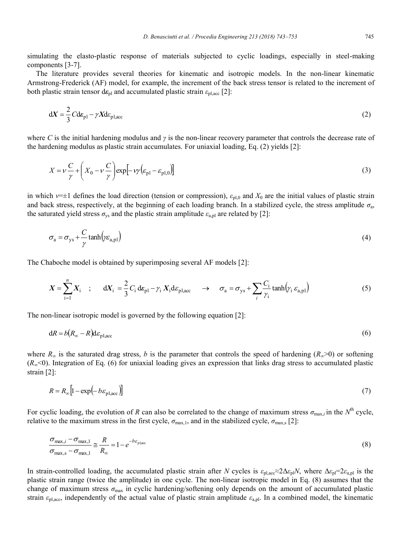simulating the elasto-plastic response of materials subjected to cyclic loadings, especially in steel-making components [3-7].

The literature provides several theories for kinematic and isotropic models. In the non-linear kinematic Armstrong-Frederick (AF) model, for example, the increment of the back stress tensor is related to the increment of both plastic strain tensor  $d\varepsilon_{\text{pl}}$  and accumulated plastic strain  $\varepsilon_{\text{pl,acc}}$  [2]:

$$
dX = \frac{2}{3}Cde_{p1} - \gamma Xde_{p1,acc}
$$
 (2)

where *C* is the initial hardening modulus and  $\gamma$  is the non-linear recovery parameter that controls the decrease rate of the hardening modulus as plastic strain accumulates. For uniaxial loading, Eq. (2) yields [2]:

$$
X = \nu \frac{C}{\gamma} + \left(X_0 - \nu \frac{C}{\gamma}\right) \exp\left[-\nu \gamma \left(\varepsilon_{\text{pl}} - \varepsilon_{\text{pl},0}\right)\right]
$$
\n(3)

in which  $\nu=\pm 1$  defines the load direction (tension or compression),  $\varepsilon_{p1,0}$  and  $X_0$  are the initial values of plastic strain and back stress, respectively, at the beginning of each loading branch. In a stabilized cycle, the stress amplitude  $\sigma_a$ , the saturated yield stress  $\sigma_{\rm vs}$  and the plastic strain amplitude  $\varepsilon_{\rm a,pl}$  are related by [2]:

$$
\sigma_{\rm a} = \sigma_{\rm ys} + \frac{C}{\gamma} \tanh(\gamma \varepsilon_{\rm a,pl})
$$
 (4)

The Chaboche model is obtained by superimposing several AF models [2]:

$$
X = \sum_{i=1}^{n} X_i \quad ; \quad dX_i = \frac{2}{3} C_i d\varepsilon_{p1} - \gamma_i X_i d\varepsilon_{p1,acc} \quad \to \quad \sigma_a = \sigma_{ys} + \sum_{i} \frac{C_i}{\gamma_i} \tanh(\gamma_i \varepsilon_{a,p1}) \tag{5}
$$

The non-linear isotropic model is governed by the following equation [2]:

$$
dR = b(R_{\infty} - R)d\varepsilon_{\text{pl,acc}} \tag{6}
$$

where  $R_\infty$  is the saturated drag stress, *b* is the parameter that controls the speed of hardening ( $R_\infty$ >0) or softening (*R*∞<0). Integration of Eq. (6) for uniaxial loading gives an expression that links drag stress to accumulated plastic strain [2]:

$$
R = R_{\infty} \left[ 1 - \exp\left( -b\varepsilon_{\text{pl,acc}} \right) \right] \tag{7}
$$

For cyclic loading, the evolution of *R* can also be correlated to the change of maximum stress  $\sigma_{\text{max},i}$  in the  $N^{\text{th}}$  cycle, relative to the maximum stress in the first cycle,  $\sigma_{\text{max},1}$ , and in the stabilized cycle,  $\sigma_{\text{max},s}$  [2]:

$$
\frac{\sigma_{\text{max},i} - \sigma_{\text{max},1}}{\sigma_{\text{max},s} - \sigma_{\text{max},1}} \approx \frac{R}{R_{\infty}} = 1 - e^{-b\varepsilon_{\text{place}}}
$$
\n(8)

In strain-controlled loading, the accumulated plastic strain after *N* cycles is  $\varepsilon_{p\perp}a_c \approx 2\Delta\varepsilon_{p\perp}N$ , where  $\Delta\varepsilon_{p\perp} = 2\varepsilon_{a,p\perp}$  is the plastic strain range (twice the amplitude) in one cycle. The non-linear isotropic model in Eq. (8) assumes that the change of maximum stress  $\sigma_{\text{max}}$  in cyclic hardening/softening only depends on the amount of accumulated plastic strain  $\varepsilon_{\text{pl,acc}}$ , independently of the actual value of plastic strain amplitude  $\varepsilon_{\text{a,pl}}$ . In a combined model, the kinematic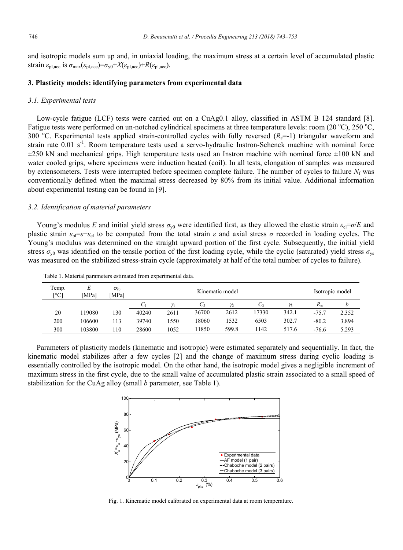and isotropic models sum up and, in uniaxial loading, the maximum stress at a certain level of accumulated plastic strain  $\varepsilon_{\text{pl,acc}}$  is  $\sigma_{\text{max}}(\varepsilon_{\text{pl,acc}}) = \sigma_{\text{v0}} + X(\varepsilon_{\text{pl,acc}}) + R(\varepsilon_{\text{pl,acc}})$ .

### **3. Plasticity models: identifying parameters from experimental data**

#### *3.1. Experimental tests*

Low-cycle fatigue (LCF) tests were carried out on a CuAg0.1 alloy, classified in ASTM B 124 standard [8]. Fatigue tests were performed on un-notched cylindrical specimens at three temperature levels: room (20 °C), 250 °C, 300 °C. Experimental tests applied strain-controlled cycles with fully reversed  $(R<sub>ε</sub>=1)$  triangular waveform and strain rate  $0.01 \text{ s}^{-1}$ . Room temperature tests used a servo-hydraulic Instron-Schenck machine with nominal force  $\pm$ 250 kN and mechanical grips. High temperature tests used an Instron machine with nominal force  $\pm$ 100 kN and water cooled grips, where specimens were induction heated (coil). In all tests, elongation of samples was measured by extensometers. Tests were interrupted before specimen complete failure. The number of cycles to failure *N*<sup>f</sup> was conventionally defined when the maximal stress decreased by 80% from its initial value. Additional information about experimental testing can be found in [9].

### *3.2. Identification of material parameters*

Young's modulus *E* and initial yield stress  $\sigma_{y0}$  were identified first, as they allowed the elastic strain  $\varepsilon_{el} = \sigma/E$  and plastic strain  $\varepsilon_{\text{pl}} = \varepsilon - \varepsilon_{\text{el}}$  to be computed from the total strain  $\varepsilon$  and axial stress  $\sigma$  recorded in loading cycles. The Young's modulus was determined on the straight upward portion of the first cycle. Subsequently, the initial yield stress  $\sigma_{v0}$  was identified on the tensile portion of the first loading cycle, while the cyclic (saturated) yield stress  $\sigma_{vs}$ was measured on the stabilized stress-strain cycle (approximately at half of the total number of cycles to failure).

| Temp.<br>[°C] | E<br>[MPa] | $\sigma_{\!\scriptscriptstyle\mathrm{V}0}$<br>[MPa] | Kinematic model |      |       |       |       |       |              | Isotropic model |
|---------------|------------|-----------------------------------------------------|-----------------|------|-------|-------|-------|-------|--------------|-----------------|
|               |            |                                                     | U1              |      | $C_2$ |       | C3    |       | $R_{\infty}$ | b               |
| 20            | 19080      | 130                                                 | 40240           | 2611 | 36700 | 2612  | 17330 | 342.1 | $-75.7$      | 2.352           |
| 200           | 106600     | 113                                                 | 39740           | 1550 | 18060 | 1532  | 6503  | 302.7 | $-80.2$      | 3.894           |
| 300           | 103800     | 110                                                 | 28600           | 1052 | 1850  | 599.8 | 1142  | 517.6 | $-76.6$      | 5.293           |

Table 1. Material parameters estimated from experimental data.

Parameters of plasticity models (kinematic and isotropic) were estimated separately and sequentially. In fact, the kinematic model stabilizes after a few cycles [2] and the change of maximum stress during cyclic loading is essentially controlled by the isotropic model. On the other hand, the isotropic model gives a negligible increment of maximum stress in the first cycle, due to the small value of accumulated plastic strain associated to a small speed of stabilization for the CuAg alloy (small *b* parameter, see Table 1).



Fig. 1. Kinematic model calibrated on experimental data at room temperature.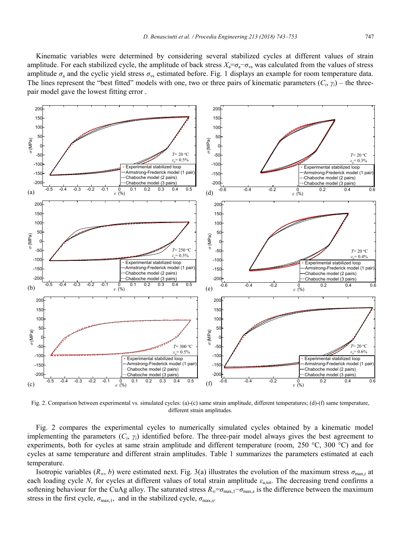

Fig. 2. Comparison between experimental vs. simulated cycles: (a)-(c) same strain amplitude, different temperatures; (d)-(f) same temperature, different strain amplitudes.

Fig. 2 compares the experimental cycles to numerically simulated cycles obtained by a kinematic model implementing the parameters  $(C_i, \gamma_i)$  identified before. The three-pair model always gives the best agreement to experiments, both for cycles at same strain amplitude and different temperature (room, 250 °C, 300 °C) and for cycles at same temperature and different strain amplitudes. Table 1 summarizes the parameters estimated at each temperature.

Isotropic variables ( $R_\infty$ , *b*) were estimated next. Fig. 3(a) illustrates the evolution of the maximum stress  $\sigma_{\text{max},i}$  at each loading cycle *N*, for cycles at different values of total strain amplitude  $\varepsilon_{a, tot}$ . The decreasing trend confirms a softening behaviour for the CuAg alloy. The saturated stress  $R_{\infty} = \sigma_{\max,1} - \sigma_{\max,s}$  is the difference between the maximum stress in the first cycle,  $\sigma_{\text{max},1}$ , and in the stabilized cycle,  $\sigma_{\text{max},s}$ .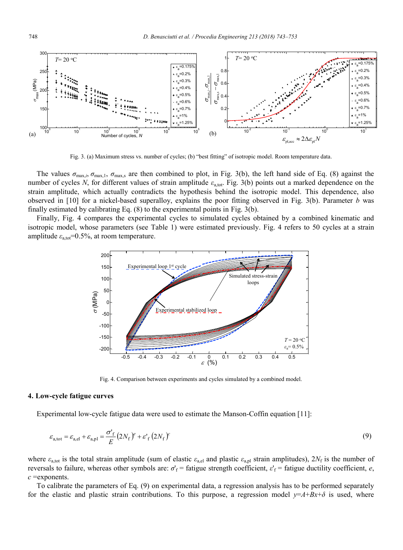

Fig. 3. (a) Maximum stress vs. number of cycles; (b) "best fitting" of isotropic model. Room temperature data.

The values  $\sigma_{\text{max},i}$ ,  $\sigma_{\text{max},s}$  are then combined to plot, in Fig. 3(b), the left hand side of Eq. (8) against the number of cycles *N*, for different values of strain amplitude  $ε_{a, tot}$ . Fig. 3(b) points out a marked dependence on the strain amplitude, which actually contradicts the hypothesis behind the isotropic model. This dependence, also observed in [10] for a nickel-based superalloy, explains the poor fitting observed in Fig. 3(b). Parameter *b* was finally estimated by calibrating Eq. (8) to the experimental points in Fig. 3(b).

Finally, Fig. 4 compares the experimental cycles to simulated cycles obtained by a combined kinematic and isotropic model, whose parameters (see Table 1) were estimated previously. Fig. 4 refers to 50 cycles at a strain amplitude  $\varepsilon_{a,\text{tot}}$ =0.5%, at room temperature.



Fig. 4. Comparison between experiments and cycles simulated by a combined model.

### **4. Low-cycle fatigue curves**

Experimental low-cycle fatigue data were used to estimate the Manson-Coffin equation [11]:

$$
\varepsilon_{\text{a,tot}} = \varepsilon_{\text{a,el}} + \varepsilon_{\text{a,pl}} = \frac{\sigma_{\text{f}}^{\prime}}{E} \left( 2N_{\text{f}} \right)^{\rho} + \varepsilon_{\text{f}}^{\prime} \left( 2N_{\text{f}} \right)^{\rho} \tag{9}
$$

where  $\varepsilon_{a,\text{tot}}$  is the total strain amplitude (sum of elastic  $\varepsilon_{a,\text{el}}$  and plastic  $\varepsilon_{a,\text{pl}}$  strain amplitudes),  $2N_f$  is the number of reversals to failure, whereas other symbols are: *σ*'<sub>f</sub> = fatigue strength coefficient, *ε*'<sub>f</sub> = fatigue ductility coefficient, *e*, *c* =exponents.

To calibrate the parameters of Eq. (9) on experimental data, a regression analysis has to be performed separately for the elastic and plastic strain contributions. To this purpose, a regression model  $y=$ *A*+*Bx*+ $\delta$  is used, where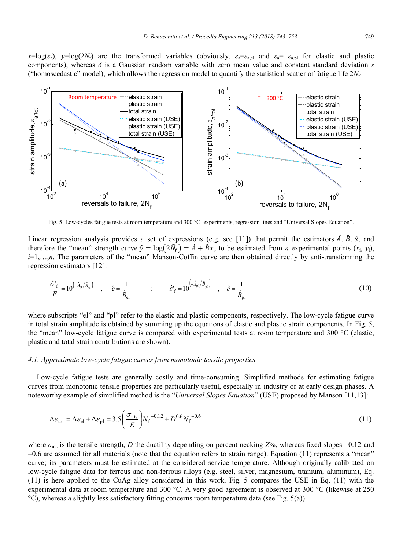*x*=log( $\varepsilon_a$ ), *y*=log( $2N_f$ ) are the transformed variables (obviously,  $\varepsilon_a = \varepsilon_{a,el}$  and  $\varepsilon_a = \varepsilon_{a,pl}$  for elastic and plastic components), whereas *δ* is a Gaussian random variable with zero mean value and constant standard deviation *s* ("homoscedastic" model), which allows the regression model to quantify the statistical scatter of fatigue life  $2N_f$ .



Fig. 5. Low-cycles fatigue tests at room temperature and 300 °C: experiments, regression lines and "Universal Slopes Equation".

Linear regression analysis provides a set of expressions (e.g. see [11]) that permit the estimators  $\hat{A}$ ,  $\hat{B}$ ,  $\hat{S}$ , and therefore the "mean" strength curve  $\hat{y} = \log(2\hat{N}_f) = \hat{A} + \hat{B}x$ , to be estimated from *n* experimental points  $(x_i, y_i)$ , *i*=1,…,*n*. The parameters of the "mean" Manson-Coffin curve are then obtained directly by anti-transforming the regression estimators [12]:

$$
\frac{\hat{\sigma}^{\prime}_{f}}{E} = 10^{\left(-\hat{\lambda}_{el}/\hat{B}_{el}\right)} \quad , \quad \hat{e} = \frac{1}{\hat{B}_{el}} \qquad ; \qquad \hat{\varepsilon}^{\prime}_{f} = 10^{\left(-\hat{A}_{pl}/\hat{B}_{pl}\right)} \quad , \quad \hat{c} = \frac{1}{\hat{B}_{pl}} \tag{10}
$$

where subscripts "el" and "pl" refer to the elastic and plastic components, respectively. The low-cycle fatigue curve in total strain amplitude is obtained by summing up the equations of elastic and plastic strain components. In Fig. 5, the "mean" low-cycle fatigue curve is compared with experimental tests at room temperature and 300 °C (elastic, plastic and total strain contributions are shown).

### *4.1. Approximate low-cycle fatigue curves from monotonic tensile properties*

Low-cycle fatigue tests are generally costly and time-consuming. Simplified methods for estimating fatigue curves from monotonic tensile properties are particularly useful, especially in industry or at early design phases. A noteworthy example of simplified method is the "*Universal Slopes Equation*" (USE) proposed by Manson [11,13]:

$$
\Delta \varepsilon_{\text{tot}} = \Delta \varepsilon_{\text{el}} + \Delta \varepsilon_{\text{pl}} = 3.5 \left( \frac{\sigma_{\text{uts}}}{E} \right) N_{\text{f}}^{-0.12} + D^{0.6} N_{\text{f}}^{-0.6}
$$
\n(11)

where  $\sigma_{\text{uts}}$  is the tensile strength, *D* the ductility depending on percent necking  $Z$ %, whereas fixed slopes -0.12 and 0.6 are assumed for all materials (note that the equation refers to strain range). Equation (11) represents a "mean" curve; its parameters must be estimated at the considered service temperature. Although originally calibrated on low-cycle fatigue data for ferrous and non-ferrous alloys (e.g. steel, silver, magnesium, titanium, aluminum), Eq. (11) is here applied to the CuAg alloy considered in this work. Fig. 5 compares the USE in Eq. (11) with the experimental data at room temperature and 300 °C. A very good agreement is observed at 300 °C (likewise at 250 °C), whereas a slightly less satisfactory fitting concerns room temperature data (see Fig. 5(a)).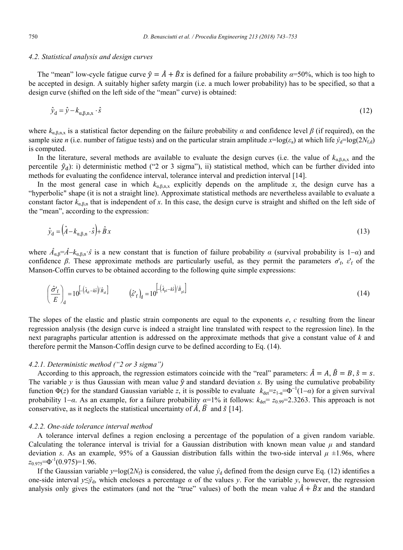### *4.2. Statistical analysis and design curves*

The "mean" low-cycle fatigue curve  $\hat{y} = \hat{A} + \hat{B}x$  is defined for a failure probability  $\alpha$ =50%, which is too high to be accepted in design. A suitably higher safety margin (i.e. a much lower probability) has to be specified, so that a design curve (shifted on the left side of the "mean" curve) is obtained:

$$
\hat{y}_d = \hat{y} - k_{\alpha, \beta, n, x} \cdot \hat{s} \tag{12}
$$

where  $k_{\alpha \beta_0 n}$  is a statistical factor depending on the failure probability  $\alpha$  and confidence level  $\beta$  (if required), on the sample size *n* (i.e. number of fatigue tests) and on the particular strain amplitude  $x = \log(\varepsilon_a)$  at which life  $\hat{y}_d = \log(2N_{\text{fd}})$ is computed.

In the literature, several methods are available to evaluate the design curves (i.e. the value of  $k_{\alpha,\beta,n,x}$  and the percentile  $\hat{y}_d$ : i) deterministic method ("2 or 3 sigma"), ii) statistical method, which can be further divided into methods for evaluating the confidence interval, tolerance interval and prediction interval [14].

In the most general case in which  $k_{\alpha,\beta,n,x}$  explicitly depends on the amplitude *x*, the design curve has a "hyperbolic" shape (it is not a straight line). Approximate statistical methods are nevertheless available to evaluate a constant factor  $k_{\alpha,\beta,n}$  that is independent of x. In this case, the design curve is straight and shifted on the left side of the "mean", according to the expression:

$$
\hat{y}_d = (\hat{A} - k_{\alpha,\beta,n} \cdot \hat{s}) + \hat{B}x \tag{13}
$$

where  $\hat{A}_{\alpha,\beta} = \hat{A} - k_{\alpha,\beta,n} \cdot \hat{s}$  is a new constant that is function of failure probability  $\alpha$  (survival probability is 1– $\alpha$ ) and confidence *β*. These approximate methods are particularly useful, as they permit the parameters  $\sigma'_{f}$ ,  $\varepsilon'_{f}$  of the Manson-Coffin curves to be obtained according to the following quite simple expressions:

$$
\left(\frac{\hat{\sigma}'_{\rm f}}{E}\right)_{\rm d} = 10^{\left[-\left(\hat{\lambda}_{\rm el} - k\hat{s}\right)/\hat{B}_{\rm el}\right]} \qquad \left(\hat{\varepsilon}'_{\rm f}\right)_{\rm d} = 10^{\left[-\left(\hat{\lambda}_{\rm pl} - k\hat{s}\right)/\hat{B}_{\rm pl}\right]} \qquad (14)
$$

The slopes of the elastic and plastic strain components are equal to the exponents *e*, *c* resulting from the linear regression analysis (the design curve is indeed a straight line translated with respect to the regression line). In the next paragraphs particular attention is addressed on the approximate methods that give a constant value of *k* and therefore permit the Manson-Coffin design curve to be defined according to Eq. (14).

### *4.2.1. Deterministic method ("2 or 3 sigma")*

According to this approach, the regression estimators coincide with the "real" parameters:  $\hat{A} = A$ ,  $\hat{B} = B$ ,  $\hat{s} = s$ . The variable *y* is thus Gaussian with mean value  $\hat{y}$  and standard deviation *s*. By using the cumulative probability function  $\Phi(z)$  for the standard Gaussian variable *z*, it is possible to evaluate  $k_{\text{det}}=z_{1\text{-}a}= \Phi^{-1}(1-a)$  for a given survival probability  $1-\alpha$ . As an example, for a failure probability  $\alpha=1\%$  it follows:  $k_{\text{det}}= z_{0.99}=2.3263$ . This approach is not conservative, as it neglects the statistical uncertainty of  $\hat{A}$ ,  $\hat{B}$  and  $\hat{S}$  [14].

#### *4.2.2. One-side tolerance interval method*

A tolerance interval defines a region enclosing a percentage of the population of a given random variable. Calculating the tolerance interval is trivial for a Gaussian distribution with known mean value *μ* and standard deviation *s*. As an example, 95% of a Gaussian distribution falls within the two-side interval  $\mu$   $\pm$ 1.96s, where *z*0.975=Φ-1 (0.975)=1.96.

If the Gaussian variable  $y = \log(2N_f)$  is considered, the value  $\hat{y}_d$  defined from the design curve Eq. (12) identifies a one-side interval  $y \leq \hat{y}_d$ , which encloses a percentage  $\alpha$  of the values *y*. For the variable *y*, however, the regression analysis only gives the estimators (and not the "true" values) of both the mean value  $\hat{A} + \hat{B}x$  and the standard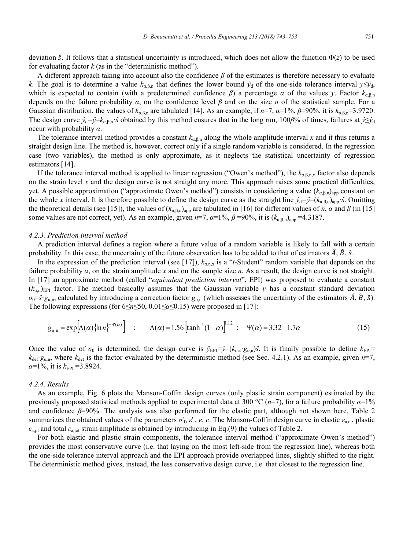deviation  $\hat{s}$ . It follows that a statistical uncertainty is introduced, which does not allow the function  $\Phi(z)$  to be used for evaluating factor  $k$  (as in the "deterministic method").

A different approach taking into account also the confidence *β* of the estimates is therefore necessary to evaluate *k*. The goal is to determine a value  $k_{\alpha,\beta,n}$  that defines the lower bound  $\hat{y}_d$  of the one-side tolerance interval  $y \leq \hat{y}_d$ , which is expected to contain (with a predetermined confidence  $\beta$ ) a percentage  $\alpha$  of the values *y*. Factor  $k_{\alpha,\beta,n}$ depends on the failure probability *α*, on the confidence level *β* and on the size *n* of the statistical sample. For a Gaussian distribution, the values of  $k_{\alpha,\beta,n}$  are tabulated [14]. As an example, if  $n=7$ ,  $\alpha=1\%$ ,  $\beta=90\%$ , it is  $k_{\alpha,\beta,n}=3.9720$ . The design curve  $\hat{y}_d = \hat{y} - k_{\alpha \beta n} \cdot \hat{s}$  obtained by this method ensures that in the long run, 100*β*% of times, failures at  $\hat{y} \leq \hat{y}_d$ occur with probability *α*.

The tolerance interval method provides a constant  $k_{\alpha,\beta,n}$  along the whole amplitude interval x and it thus returns a straight design line. The method is, however, correct only if a single random variable is considered. In the regression case (two variables), the method is only approximate, as it neglects the statistical uncertainty of regression estimators [14].

If the tolerance interval method is applied to linear regression ("Owen's method"), the  $k_{\alpha\beta\beta\gamma}$  factor also depends on the strain level *x* and the design curve is not straight any more. This approach raises some practical difficulties, yet. A possible approximation ("approximate Owen's method") consists in considering a value (*k*α,β,n)app constant on the whole *x* interval. It is therefore possible to define the design curve as the straight line  $\hat{y}_d = \hat{y}_d - (k_{\alpha,\beta,n})_{\text{app}} \hat{s}$ . Omitting the theoretical details (see [15]), the values of  $(k_{\alpha,\beta,n})_{app}$  are tabulated in [16] for different values of *n*,  $\alpha$  and  $\beta$  (in [15] some values are not correct, yet). As an example, given  $n=7$ ,  $\alpha=1\%$ ,  $\beta=90\%$ , it is  $(k_{\alpha,\beta,n})_{\text{app}}=4.3187$ .

#### *4.2.3. Prediction interval method*

A prediction interval defines a region where a future value of a random variable is likely to fall with a certain probability. In this case, the uncertainty of the future observation has to be added to that of estimators  $\hat{A}$ ,  $\hat{B}$ ,  $\hat{S}$ .

In the expression of the prediction interval (see [17]),  $k_{a,n,x}$  is a "*t*-Student" random variable that depends on the failure probability *α*, on the strain amplitude *x* and on the sample size *n*. As a result, the design curve is not straight. In [17] an approximate method (called "*equivalent prediction interval*", EPI) was proposed to evaluate a constant  $(k_{a,n})_{EPI}$  factor. The method basically assumes that the Gaussian variable *y* has a constant standard deviation  $\sigma_0 = \hat{s} \cdot g_{\alpha,n}$ , calculated by introducing a correction factor  $g_{\alpha,n}$  (which assesses the uncertainty of the estimators  $\hat{A}$ ,  $\hat{B}$ ,  $\hat{s}$ ). The following expressions (for 6≤*n*≤50, 0.01≤*α*≤0.15) were proposed in [17]:

$$
g_{\alpha,n} = \exp[\Lambda(\alpha)\{\ln n\}^{-\Psi(\alpha)}\} \quad ; \qquad \Lambda(\alpha) = 1.56 \left[\tanh^{-1}(1-\alpha)\right]^{1.12} \quad ; \quad \Psi(\alpha) = 3.32 - 1.7\alpha \tag{15}
$$

Once the value of  $\sigma_0$  is determined, the design curve is  $\hat{y}_{EPI} = \hat{y} - (k_{\text{det}} \cdot g_{\alpha,n})\hat{s}$ . It is finally possible to define  $k_{EPI} =$  $k_{\text{det}} g_{\alpha,n}$ , where  $k_{\text{det}}$  is the factor evaluated by the deterministic method (see Sec. 4.2.1). As an example, given *n*=7,  $\alpha$ =1%, it is  $k_{\text{EPI}}$  =3.8924.

#### *4.2.4. Results*

As an example, Fig. 6 plots the Manson-Coffin design curves (only plastic strain component) estimated by the previously proposed statistical methods applied to experimental data at 300 °C (*n*=7), for a failure probability *α*=1% and confidence *β*=90%. The analysis was also performed for the elastic part, although not shown here. Table 2 summarizes the obtained values of the parameters  $\sigma'_f$ ,  $\varepsilon'_f$ ,  $e$ ,  $c$ . The Manson-Coffin design curve in elastic  $\varepsilon_{a,el}$ , plastic  $\varepsilon_{a,pl}$  and total  $\varepsilon_{a,tot}$  strain amplitude is obtained by introducing in Eq.(9) the values of Table 2.

For both elastic and plastic strain components, the tolerance interval method ("approximate Owen's method") provides the most conservative curve (i.e. that laying on the most left-side from the regression line), whereas both the one-side tolerance interval approach and the EPI approach provide overlapped lines, slightly shifted to the right. The deterministic method gives, instead, the less conservative design curve, i.e. that closest to the regression line.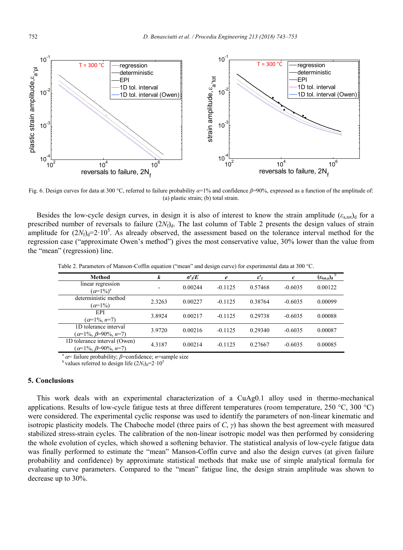

Fig. 6. Design curves for data at 300 °C, referred to failure probability *α*=1% and confidence *β*=90%, expressed as a function of the amplitude of: (a) plastic strain; (b) total strain.

Besides the low-cycle design curves, in design it is also of interest to know the strain amplitude  $(\varepsilon_{a,\text{tot}})_{\text{d}}$  for a prescribed number of reversals to failure  $(2N_f)_d$ . The last column of Table 2 presents the design values of strain amplitude for  $(2N_f)<sub>f</sub>=2.10<sup>5</sup>$ . As already observed, the assessment based on the tolerance interval method for the regression case ("approximate Owen's method") gives the most conservative value, 30% lower than the value from the "mean" (regression) line.

Table 2. Parameters of Manson-Coffin equation ("mean" and design curve) for experimental data at 300 °C.

| Method                          | k      | $\sigma^{\prime}$ of $E$ | e         | $\varepsilon'$ f | $\mathfrak c$ | $(\varepsilon_{\text{tot,a}})_{\text{d}}$ $^{\text{b}}$ |
|---------------------------------|--------|--------------------------|-----------|------------------|---------------|---------------------------------------------------------|
| linear regression               | ۰      | 0.00244                  | $-0.1125$ | 0.57468          | $-0.6035$     | 0.00122                                                 |
| $\alpha = 1\%$ <sup>a</sup>     |        |                          |           |                  |               |                                                         |
| deterministic method            | 2.3263 | 0.00227                  | $-0.1125$ | 0.38764          | $-0.6035$     | 0.00099                                                 |
| $\alpha=1\%$                    |        |                          |           |                  |               |                                                         |
| EPI                             | 3.8924 | 0.00217                  | $-0.1125$ | 0.29738          | $-0.6035$     | 0.00088                                                 |
| $\alpha=1\%, n=7$               |        |                          |           |                  |               |                                                         |
| 1D tolerance interval           | 3.9720 | 0.00216                  | $-0.1125$ | 0.29340          | $-0.6035$     | 0.00087                                                 |
| $(\alpha=1\%, \beta=90\%, n=7)$ |        |                          |           |                  |               |                                                         |
| 1D tolerance interval (Owen)    | 4.3187 | 0.00214                  | $-0.1125$ | 0.27667          | $-0.6035$     | 0.00085                                                 |
| $(\alpha=1\%, \beta=90\%, n=7)$ |        |                          |           |                  |               |                                                         |

<sup>a</sup>= failure probability; *β*=confidence; *n*=sample size

<sup>b</sup> values referred to design life  $(2N<sub>f</sub>)<sub>d</sub>=2.10<sup>5</sup>$ 

### **5. Conclusions**

This work deals with an experimental characterization of a CuAg0.1 alloy used in thermo-mechanical applications. Results of low-cycle fatigue tests at three different temperatures (room temperature, 250 °C, 300 °C) were considered. The experimental cyclic response was used to identify the parameters of non-linear kinematic and isotropic plasticity models. The Chaboche model (three pairs of *C*, *γ*) has shown the best agreement with measured stabilized stress-strain cycles. The calibration of the non-linear isotropic model was then performed by considering the whole evolution of cycles, which showed a softening behavior. The statistical analysis of low-cycle fatigue data was finally performed to estimate the "mean" Manson-Coffin curve and also the design curves (at given failure probability and confidence) by approximate statistical methods that make use of simple analytical formula for evaluating curve parameters. Compared to the "mean" fatigue line, the design strain amplitude was shown to decrease up to 30%.